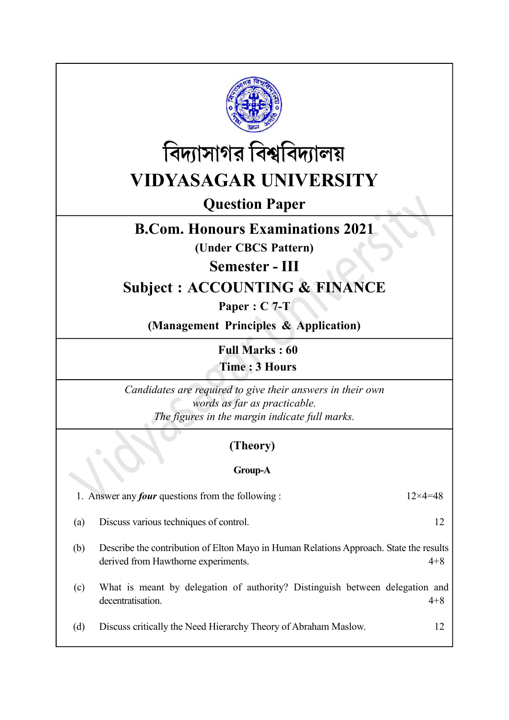



Question Paper

# B.Com. Honours Examinations 2021

(Under CBCS Pattern)

#### Semester - III

## Subject : ACCOUNTING & FINANCE

Paper : C 7-T

(Management Principles & Application)

Full Marks : 60 Time : 3 Hours

Candidates are required to give their answers in their own words as far as practicable. The figures in the margin indicate full marks.

### (Theory)

#### Group-A

1. Answer any *four* questions from the following :  $12 \times 4 = 48$ 

(a) Discuss various techniques of control. 12

(b) Describe the contribution of Elton Mayo in Human Relations Approach. State the results derived from Hawthorne experiments. 4+8

(c) What is meant by delegation of authority? Distinguish between delegation and decentratisation. 4+8

(d) Discuss critically the Need Hierarchy Theory of Abraham Maslow. 12